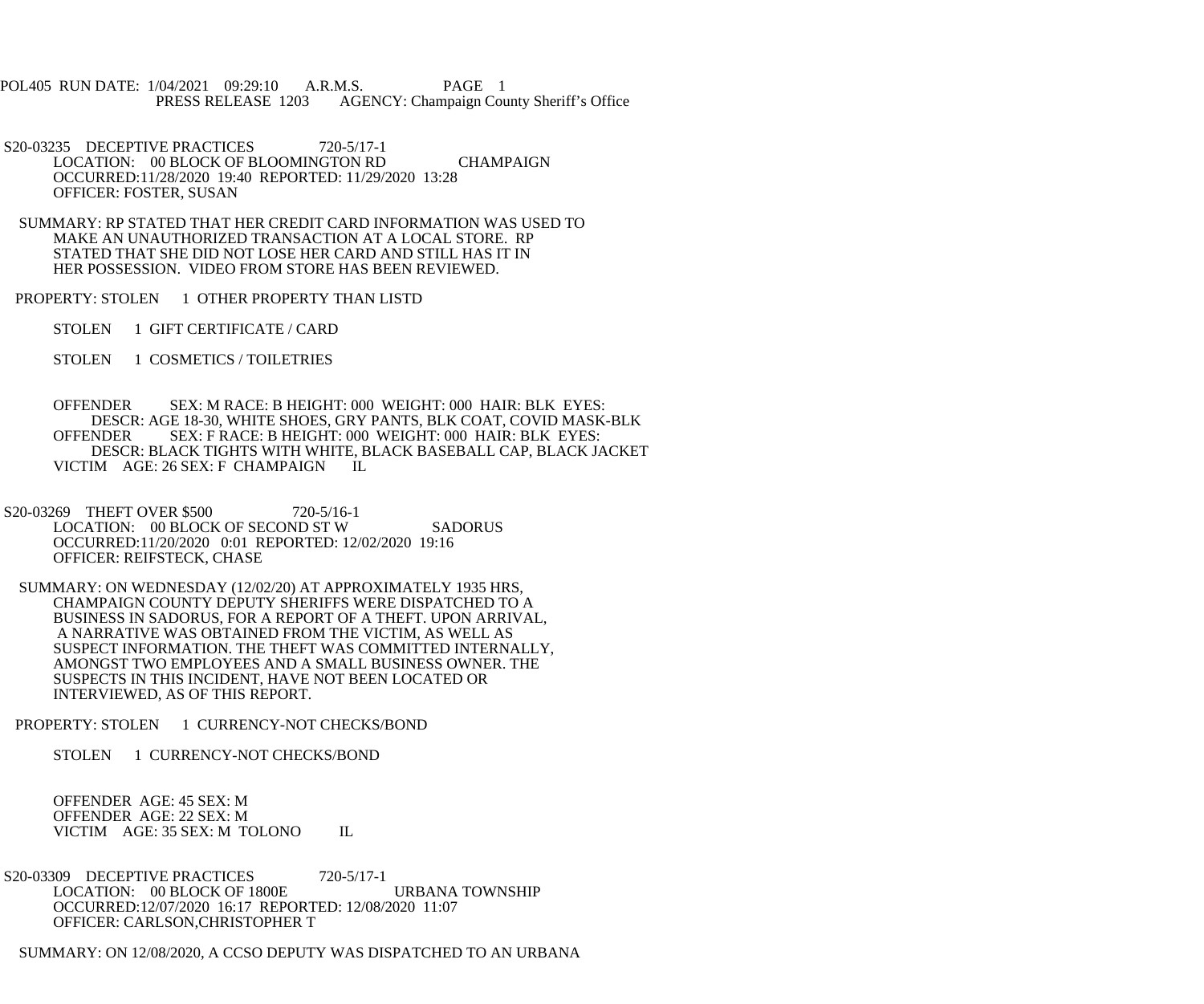POL405 RUN DATE: 1/04/2021 09:29:10 A.R.M.S. PAGE 1 PRESS RELEASE 1203 AGENCY: Champaign County Sheriff's Office

S20-03235 DECEPTIVE PRACTICES 720-5/17-1 LOCATION: 00 BLOCK OF BLOOMINGTON RD CHAMPAIGN OCCURRED:11/28/2020 19:40 REPORTED: 11/29/2020 13:28 OFFICER: FOSTER, SUSAN

 SUMMARY: RP STATED THAT HER CREDIT CARD INFORMATION WAS USED TO MAKE AN UNAUTHORIZED TRANSACTION AT A LOCAL STORE. RP STATED THAT SHE DID NOT LOSE HER CARD AND STILL HAS IT IN HER POSSESSION. VIDEO FROM STORE HAS BEEN REVIEWED.

PROPERTY: STOLEN 1 OTHER PROPERTY THAN LISTD

STOLEN 1 GIFT CERTIFICATE / CARD

STOLEN 1 COSMETICS / TOILETRIES

 OFFENDER SEX: M RACE: B HEIGHT: 000 WEIGHT: 000 HAIR: BLK EYES: DESCR: AGE 18-30, WHITE SHOES, GRY PANTS, BLK COAT, COVID MASK-BLK OFFENDER SEX: F RACE: B HEIGHT: 000 WEIGHT: 000 HAIR: BLK EYES: DESCR: BLACK TIGHTS WITH WHITE, BLACK BASEBALL CAP, BLACK JACKET VICTIM AGE: 26 SEX: F CHAMPAIGN

S20-03269 THEFT OVER \$500 720-5/16-1 LOCATION: 00 BLOCK OF SECOND ST W SADORUS OCCURRED:11/20/2020 0:01 REPORTED: 12/02/2020 19:16 OFFICER: REIFSTECK, CHASE

 SUMMARY: ON WEDNESDAY (12/02/20) AT APPROXIMATELY 1935 HRS, CHAMPAIGN COUNTY DEPUTY SHERIFFS WERE DISPATCHED TO A BUSINESS IN SADORUS, FOR A REPORT OF A THEFT. UPON ARRIVAL, A NARRATIVE WAS OBTAINED FROM THE VICTIM, AS WELL AS SUSPECT INFORMATION. THE THEFT WAS COMMITTED INTERNALLY, AMONGST TWO EMPLOYEES AND A SMALL BUSINESS OWNER. THE SUSPECTS IN THIS INCIDENT, HAVE NOT BEEN LOCATED OR INTERVIEWED, AS OF THIS REPORT.

PROPERTY: STOLEN 1 CURRENCY-NOT CHECKS/BOND

STOLEN 1 CURRENCY-NOT CHECKS/BOND

 OFFENDER AGE: 45 SEX: M OFFENDER AGE: 22 SEX: M VICTIM AGE: 35 SEX: M TOLONO IL

S20-03309 DECEPTIVE PRACTICES 720-5/17-1 LOCATION: 00 BLOCK OF 1800E URBANA TOWNSHIP OCCURRED:12/07/2020 16:17 REPORTED: 12/08/2020 11:07 OFFICER: CARLSON,CHRISTOPHER T

SUMMARY: ON 12/08/2020, A CCSO DEPUTY WAS DISPATCHED TO AN URBANA